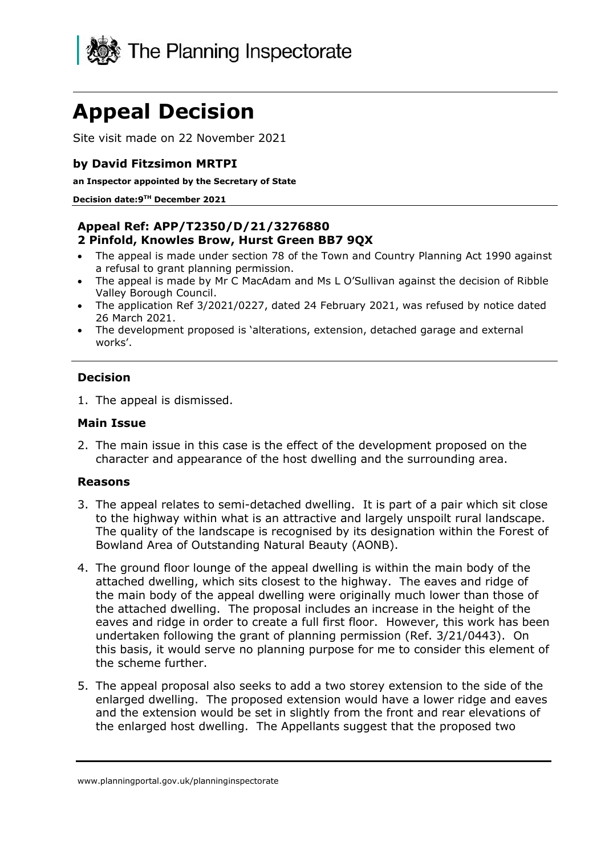

# **Appeal Decision**

Site visit made on 22 November 2021

## **by David Fitzsimon MRTPI**

**an Inspector appointed by the Secretary of State**

**Decision date:9 TH December 2021**

#### **Appeal Ref: APP/T2350/D/21/3276880 2 Pinfold, Knowles Brow, Hurst Green BB7 9QX**

- The appeal is made under section 78 of the Town and Country Planning Act 1990 against a refusal to grant planning permission.
- The appeal is made by Mr C MacAdam and Ms L O'Sullivan against the decision of Ribble Valley Borough Council.
- The application Ref 3/2021/0227, dated 24 February 2021, was refused by notice dated 26 March 2021.
- The development proposed is 'alterations, extension, detached garage and external works'.

### **Decision**

1. The appeal is dismissed.

#### **Main Issue**

2. The main issue in this case is the effect of the development proposed on the character and appearance of the host dwelling and the surrounding area.

#### **Reasons**

- 3. The appeal relates to semi-detached dwelling. It is part of a pair which sit close to the highway within what is an attractive and largely unspoilt rural landscape. The quality of the landscape is recognised by its designation within the Forest of Bowland Area of Outstanding Natural Beauty (AONB).
- 4. The ground floor lounge of the appeal dwelling is within the main body of the attached dwelling, which sits closest to the highway. The eaves and ridge of the main body of the appeal dwelling were originally much lower than those of the attached dwelling. The proposal includes an increase in the height of the eaves and ridge in order to create a full first floor. However, this work has been undertaken following the grant of planning permission (Ref. 3/21/0443). On this basis, it would serve no planning purpose for me to consider this element of the scheme further.
- 5. The appeal proposal also seeks to add a two storey extension to the side of the enlarged dwelling. The proposed extension would have a lower ridge and eaves and the extension would be set in slightly from the front and rear elevations of the enlarged host dwelling. The Appellants suggest that the proposed two

www.planningportal.gov.uk/planninginspectorate